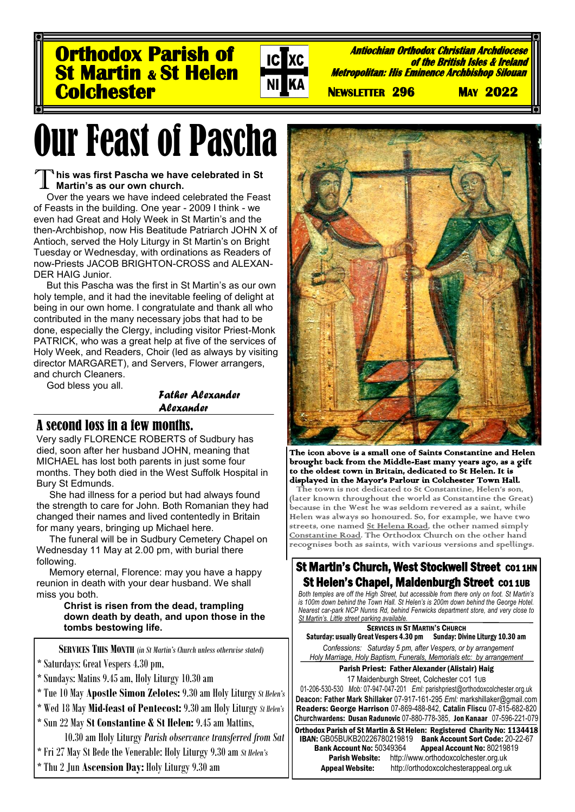**Orthodox Parish of St Martin & St Helen Colchester** 



**Antiochian Orthodox Christian Archdiocese of the British Isles & Ireland Metropolitan: His Eminence Archbishop Silouan** 

 **NEWSLETTER 296 MAY 2022** 

# Our Feast of Pascha

#### T **his was first Pascha we have celebrated in St Martin's as our own church.**

Over the years we have indeed celebrated the Feast of Feasts in the building. One year - 2009 I think - we even had Great and Holy Week in St Martin's and the then-Archbishop, now His Beatitude Patriarch JOHN X of Antioch, served the Holy Liturgy in St Martin's on Bright Tuesday or Wednesday, with ordinations as Readers of now-Priests JACOB BRIGHTON-CROSS and ALEXAN-DER HAIG Junior.

But this Pascha was the first in St Martin's as our own holy temple, and it had the inevitable feeling of delight at being in our own home. I congratulate and thank all who contributed in the many necessary jobs that had to be done, especially the Clergy, including visitor Priest-Monk PATRICK, who was a great help at five of the services of Holy Week, and Readers, Choir (led as always by visiting director MARGARET), and Servers, Flower arrangers, and church Cleaners.

God bless you all.

*Father Alexander Alexander*

## A second loss in a few months.

Very sadly FLORENCE ROBERTS of Sudbury has died, soon after her husband JOHN, meaning that MICHAEL has lost both parents in just some four months. They both died in the West Suffolk Hospital in Bury St Edmunds.

She had illness for a period but had always found the strength to care for John. Both Romanian they had changed their names and lived contentedly in Britain for many years, bringing up Michael here.

The funeral will be in Sudbury Cemetery Chapel on Wednesday 11 May at 2.00 pm, with burial there following.

Memory eternal, Florence: may you have a happy reunion in death with your dear husband. We shall miss you both.

#### **Christ is risen from the dead, trampling down death by death, and upon those in the tombs bestowing life.**

**SERVICES THIS MONTH** (*in St Martin's Church unless otherwise stated)*

- \* Saturdays: Great Vespers 4.30 pm,
- \* Sundays: Matins 9.45 am, Holy Liturgy 10.30 am
- \* Tue 10 May **Apostle Simon Zelotes:** 9.30 am Holy Liturgy *St Helen's*
- \* Wed 18 May **Mid-feast of Pentecost:** 9.30 am Holy Liturgy *St Helen's*
- \* Sun 22 May **St Constantine & St Helen:** 9.45 am Mattins,

10.30 am Holy Liturgy *Parish observance transferred from Sat*

- \* Fri 27 May St Bede the Venerable: Holy Liturgy 9.30 am *St Helen's*
- \* Thu 2 Jun **Ascension Day:** Holy Liturgy 9.30 am



The icon above is a small one of Saints Constantine and Helen brought back from the Middle-East many years ago, as a gift to the oldest town in Britain, dedicated to St Helen. It is displayed in the Mayor's Parlour in Colchester Town Hall.

 The town is not dedicated to St Constantine, Helen's son, (later known throughout the world as Constantine the Great) because in the West he was seldom revered as a saint, while Helen was always so honoured. So, for example, we have two streets, one named St Helena Road, the other named simply Constantine Road. The Orthodox Church on the other hand recognises both as saints, with various versions and spellings.

## St Martin's Church, West Stockwell Street CO1 1HN St Helen's Chapel, Maidenburgh Street CO1 1UB

*Both temples are off the High Street, but accessible from there only on foot. St Martin's is 100m down behind the Town Hall. St Helen's is 200m down behind the George Hotel. Nearest car-park NCP Nunns Rd, behind Fenwicks department store, and very close to St Martin's. Little street parking available.*

**SERVICES IN ST MARTIN'S CHURCH** Saturday: usually Great Vespers 4.30 pm Sunday: Divine Liturgy 10.30 am *Confessions: Saturday 5 pm, after Vespers, or by arrangement Holy Marriage, Holy Baptism, Funerals, Memorials etc: by arrangement* Parish Priest: Father Alexander (Alistair) Haig 17 Maidenburgh Street, Colchester CO1 1UB 01-206-530-530 *Mob:* 07-947-047-201 *Eml:* parishpriest@orthodoxcolchester.org.uk **Deacon: Father Mark Shillaker** 07-917-161-295 *Eml:* markshillaker@gmail.com Readers: George Harrison 07-869-488-842, **Catalin Fliscu** 07-815-682-820 **Churchw**ardens: Dusan Radunovic 07-880-778-385, Jon Kanaar 07-596-221-079

Orthodox Parish of St Martin & St Helen: Registered Charity No: 1134418 **IBAN: GB05BUKB20226780219819 Bank Account Sort Code: 20-22-67<br>Bank Account No: 50349364 Appeal Account No: 80219819** k Account No: 50349364 Appeal Account No: 80219819<br>Parish Website: http://www.orthodoxcolchester.org.uk

[http://www.orthodoxcolchester.org.uk](http://www.orthodoxcolchester.org.uk/) Appeal Website: http://orthodoxcolchesterappeal.org.uk